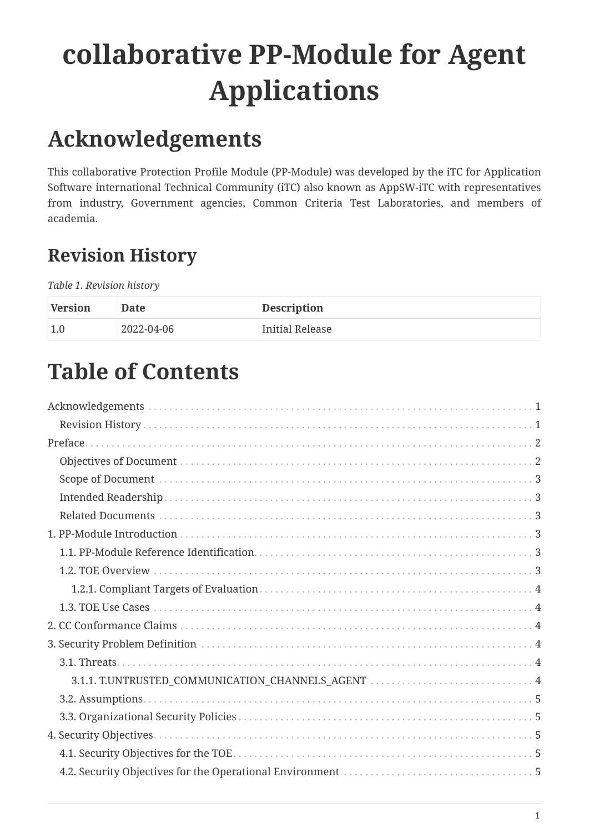# **collaborative PP-Module for Agent Applications**

## <span id="page-0-0"></span>**Acknowledgements**

This collaborative Protection Profile Module (PP-Module) was developed by the iTC for Application Software international Technical Community (iTC) also known as AppSW-iTC with representatives from industry, Government agencies, Common Criteria Test Laboratories, and members of academia.

## <span id="page-0-1"></span>**Revision History**

*Table 1. Revision history*

| <b>Version</b> | <b>Date</b> | <b>Description</b> |
|----------------|-------------|--------------------|
| 1.0            | 2022-04-06  | Initial Release    |

## **Table of Contents**

| 3.1.1. T.UNTRUSTED_COMMUNICATION_CHANNELS_AGENT  4 |  |
|----------------------------------------------------|--|
|                                                    |  |
|                                                    |  |
|                                                    |  |
|                                                    |  |
|                                                    |  |
|                                                    |  |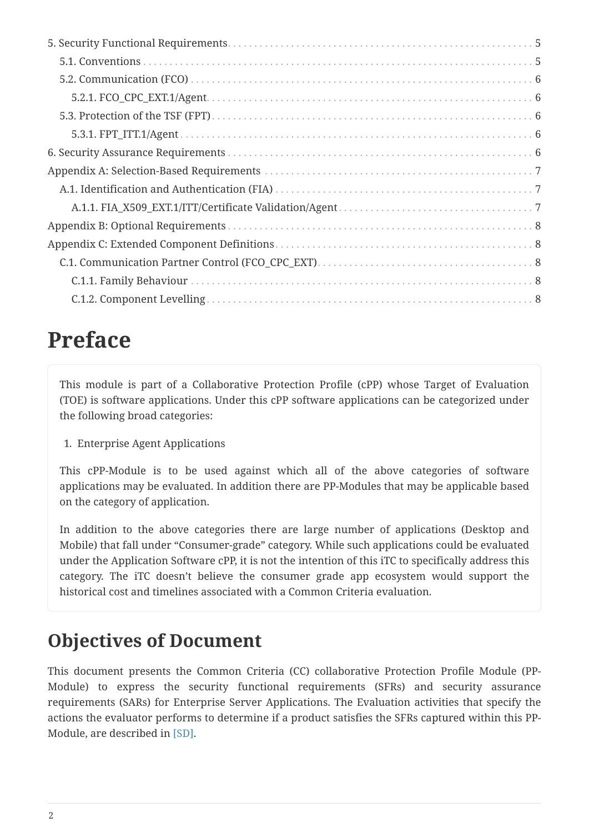## <span id="page-1-0"></span>**Preface**

This module is part of a Collaborative Protection Profile (cPP) whose Target of Evaluation (TOE) is software applications. Under this cPP software applications can be categorized under the following broad categories:

1. Enterprise Agent Applications

This cPP-Module is to be used against which all of the above categories of software applications may be evaluated. In addition there are PP-Modules that may be applicable based on the category of application.

In addition to the above categories there are large number of applications (Desktop and Mobile) that fall under "Consumer-grade" category. While such applications could be evaluated under the Application Software cPP, it is not the intention of this iTC to specifically address this category. The iTC doesn't believe the consumer grade app ecosystem would support the historical cost and timelines associated with a Common Criteria evaluation.

### <span id="page-1-1"></span>**Objectives of Document**

This document presents the Common Criteria (CC) collaborative Protection Profile Module (PP-Module) to express the security functional requirements (SFRs) and security assurance requirements (SARs) for Enterprise Server Applications. The Evaluation activities that specify the actions the evaluator performs to determine if a product satisfies the SFRs captured within this PP-Module, are described in [\[SD\].](#page-2-6)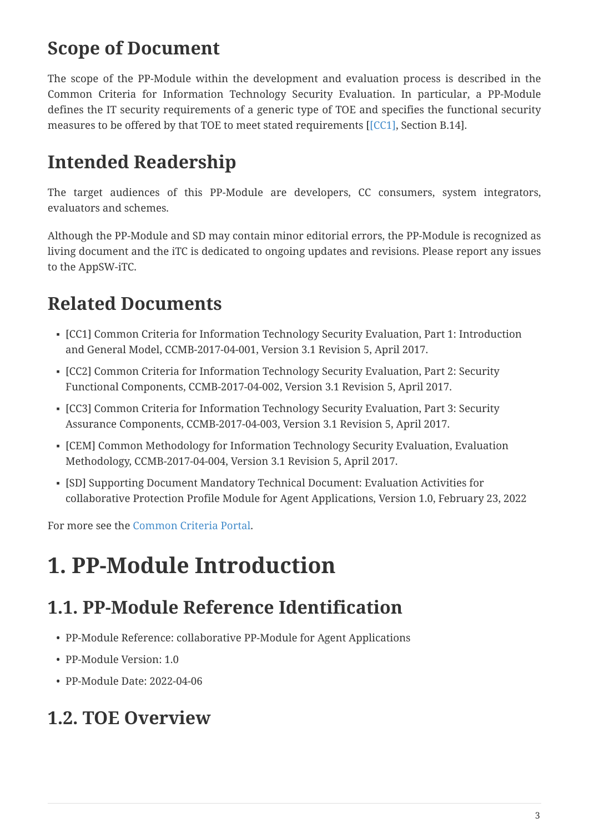## <span id="page-2-0"></span>**Scope of Document**

The scope of the PP-Module within the development and evaluation process is described in the Common Criteria for Information Technology Security Evaluation. In particular, a PP-Module defines the IT security requirements of a generic type of TOE and specifies the functional security measures to be offered by that TOE to meet stated requirements [[\[CC1\]](#page-2-7), Section B.14].

## <span id="page-2-1"></span>**Intended Readership**

The target audiences of this PP-Module are developers, CC consumers, system integrators, evaluators and schemes.

Although the PP-Module and SD may contain minor editorial errors, the PP-Module is recognized as living document and the iTC is dedicated to ongoing updates and revisions. Please report any issues to the AppSW-iTC.

## <span id="page-2-2"></span>**Related Documents**

- <span id="page-2-7"></span>▪ [CC1] Common Criteria for Information Technology Security Evaluation, Part 1: Introduction and General Model, CCMB-2017-04-001, Version 3.1 Revision 5, April 2017.
- <span id="page-2-8"></span>▪ [CC2] Common Criteria for Information Technology Security Evaluation, Part 2: Security Functional Components, CCMB-2017-04-002, Version 3.1 Revision 5, April 2017.
- <span id="page-2-9"></span>▪ [CC3] Common Criteria for Information Technology Security Evaluation, Part 3: Security Assurance Components, CCMB-2017-04-003, Version 3.1 Revision 5, April 2017.
- [CEM] Common Methodology for Information Technology Security Evaluation, Evaluation Methodology, CCMB-2017-04-004, Version 3.1 Revision 5, April 2017.
- <span id="page-2-6"></span>▪ [SD] Supporting Document Mandatory Technical Document: Evaluation Activities for collaborative Protection Profile Module for Agent Applications, Version 1.0, February 23, 2022

For more see the [Common Criteria Portal](http://www.commoncriteriaportal.org/).

## <span id="page-2-3"></span>**1. PP-Module Introduction**

### <span id="page-2-4"></span>**1.1. PP-Module Reference Identification**

- PP-Module Reference: collaborative PP-Module for Agent Applications
- PP-Module Version: 1.0
- PP-Module Date: 2022-04-06

### <span id="page-2-5"></span>**1.2. TOE Overview**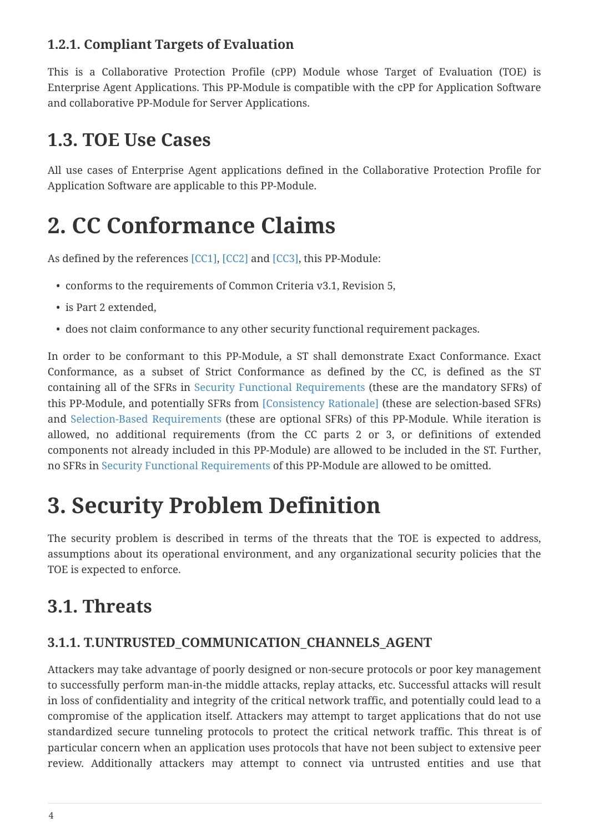#### <span id="page-3-0"></span>**1.2.1. Compliant Targets of Evaluation**

This is a Collaborative Protection Profile (cPP) Module whose Target of Evaluation (TOE) is Enterprise Agent Applications. This PP-Module is compatible with the cPP for Application Software and collaborative PP-Module for Server Applications.

### <span id="page-3-1"></span>**1.3. TOE Use Cases**

All use cases of Enterprise Agent applications defined in the Collaborative Protection Profile for Application Software are applicable to this PP-Module.

## <span id="page-3-2"></span>**2. CC Conformance Claims**

As defined by the references [\[CC1\]](#page-2-7), [\[CC2\]](#page-2-8) and [\[CC3\],](#page-2-9) this PP-Module:

- conforms to the requirements of Common Criteria v3.1, Revision 5,
- is Part 2 extended,
- does not claim conformance to any other security functional requirement packages.

In order to be conformant to this PP-Module, a ST shall demonstrate Exact Conformance. Exact Conformance, as a subset of Strict Conformance as defined by the CC, is defined as the ST containing all of the SFRs in [Security Functional Requirements](#page-4-5) (these are the mandatory SFRs) of this PP-Module, and potentially SFRs from [Consistency Rationale] (these are selection-based SFRs) and [Selection-Based Requirements](#page-6-0) (these are optional SFRs) of this PP-Module. While iteration is allowed, no additional requirements (from the CC parts 2 or 3, or definitions of extended components not already included in this PP-Module) are allowed to be included in the ST. Further, no SFRs in [Security Functional Requirements](#page-4-5) of this PP-Module are allowed to be omitted.

## <span id="page-3-3"></span>**3. Security Problem Definition**

The security problem is described in terms of the threats that the TOE is expected to address, assumptions about its operational environment, and any organizational security policies that the TOE is expected to enforce.

### <span id="page-3-4"></span>**3.1. Threats**

#### <span id="page-3-5"></span>**3.1.1. T.UNTRUSTED\_COMMUNICATION\_CHANNELS\_AGENT**

Attackers may take advantage of poorly designed or non-secure protocols or poor key management to successfully perform man-in-the middle attacks, replay attacks, etc. Successful attacks will result in loss of confidentiality and integrity of the critical network traffic, and potentially could lead to a compromise of the application itself. Attackers may attempt to target applications that do not use standardized secure tunneling protocols to protect the critical network traffic. This threat is of particular concern when an application uses protocols that have not been subject to extensive peer review. Additionally attackers may attempt to connect via untrusted entities and use that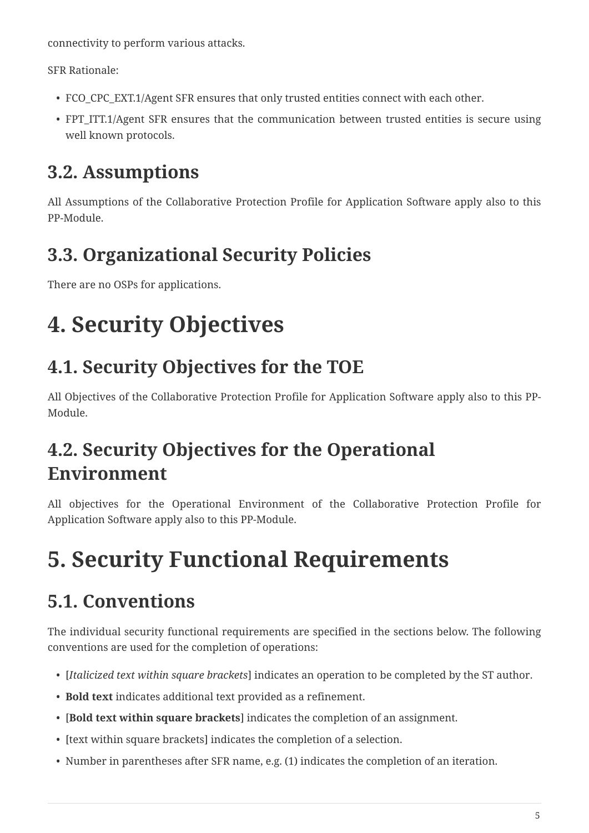connectivity to perform various attacks.

SFR Rationale:

- FCO\_CPC\_EXT.1/Agent SFR ensures that only trusted entities connect with each other.
- FPT\_ITT.1/Agent SFR ensures that the communication between trusted entities is secure using well known protocols.

### <span id="page-4-0"></span>**3.2. Assumptions**

All Assumptions of the Collaborative Protection Profile for Application Software apply also to this PP-Module.

## <span id="page-4-1"></span>**3.3. Organizational Security Policies**

There are no OSPs for applications.

# <span id="page-4-2"></span>**4. Security Objectives**

## <span id="page-4-3"></span>**4.1. Security Objectives for the TOE**

All Objectives of the Collaborative Protection Profile for Application Software apply also to this PP-Module.

## <span id="page-4-4"></span>**4.2. Security Objectives for the Operational Environment**

All objectives for the Operational Environment of the Collaborative Protection Profile for Application Software apply also to this PP-Module.

# <span id="page-4-5"></span>**5. Security Functional Requirements**

## <span id="page-4-6"></span>**5.1. Conventions**

The individual security functional requirements are specified in the sections below. The following conventions are used for the completion of operations:

- [*Italicized text within square brackets*] indicates an operation to be completed by the ST author.
- **Bold text** indicates additional text provided as a refinement.
- [**Bold text within square brackets**] indicates the completion of an assignment.
- [text within square brackets] indicates the completion of a selection.
- Number in parentheses after SFR name, e.g. (1) indicates the completion of an iteration.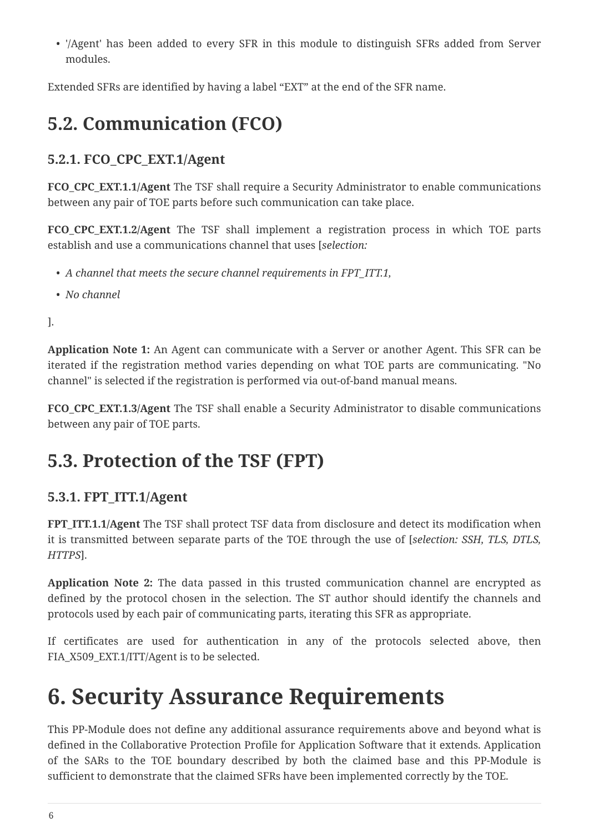• '/Agent' has been added to every SFR in this module to distinguish SFRs added from Server modules.

Extended SFRs are identified by having a label "EXT" at the end of the SFR name.

## <span id="page-5-0"></span>**5.2. Communication (FCO)**

#### <span id="page-5-1"></span>**5.2.1. FCO\_CPC\_EXT.1/Agent**

**FCO\_CPC\_EXT.1.1/Agent** The TSF shall require a Security Administrator to enable communications between any pair of TOE parts before such communication can take place.

**FCO\_CPC\_EXT.1.2/Agent** The TSF shall implement a registration process in which TOE parts establish and use a communications channel that uses [*selection:*

- *A channel that meets the secure channel requirements in FPT\_ITT.1,*
- *No channel*

].

**Application Note 1:** An Agent can communicate with a Server or another Agent. This SFR can be iterated if the registration method varies depending on what TOE parts are communicating. "No channel" is selected if the registration is performed via out-of-band manual means.

**FCO\_CPC\_EXT.1.3/Agent** The TSF shall enable a Security Administrator to disable communications between any pair of TOE parts.

### <span id="page-5-2"></span>**5.3. Protection of the TSF (FPT)**

#### <span id="page-5-3"></span>**5.3.1. FPT\_ITT.1/Agent**

**FPT\_ITT.1.1/Agent** The TSF shall protect TSF data from disclosure and detect its modification when it is transmitted between separate parts of the TOE through the use of [*selection: SSH, TLS, DTLS, HTTPS*].

**Application Note 2:** The data passed in this trusted communication channel are encrypted as defined by the protocol chosen in the selection. The ST author should identify the channels and protocols used by each pair of communicating parts, iterating this SFR as appropriate.

If certificates are used for authentication in any of the protocols selected above, then FIA\_X509\_EXT.1/ITT/Agent is to be selected.

# <span id="page-5-4"></span>**6. Security Assurance Requirements**

This PP-Module does not define any additional assurance requirements above and beyond what is defined in the Collaborative Protection Profile for Application Software that it extends. Application of the SARs to the TOE boundary described by both the claimed base and this PP-Module is sufficient to demonstrate that the claimed SFRs have been implemented correctly by the TOE.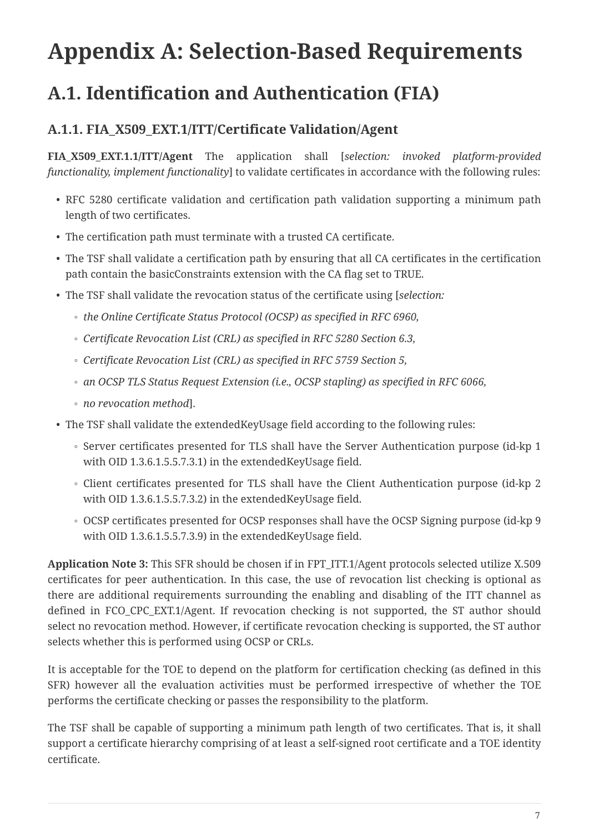## <span id="page-6-0"></span>**Appendix A: Selection-Based Requirements**

### <span id="page-6-1"></span>**A.1. Identification and Authentication (FIA)**

#### <span id="page-6-2"></span>**A.1.1. FIA\_X509\_EXT.1/ITT/Certificate Validation/Agent**

**FIA\_X509\_EXT.1.1/ITT/Agent** The application shall [*selection: invoked platform-provided functionality, implement functionality*] to validate certificates in accordance with the following rules:

- RFC 5280 certificate validation and certification path validation supporting a minimum path length of two certificates.
- The certification path must terminate with a trusted CA certificate.
- The TSF shall validate a certification path by ensuring that all CA certificates in the certification path contain the basicConstraints extension with the CA flag set to TRUE.
- The TSF shall validate the revocation status of the certificate using [*selection:*
	- *the Online Certificate Status Protocol (OCSP) as specified in RFC 6960,*
	- *Certificate Revocation List (CRL) as specified in RFC 5280 Section 6.3,*
	- *Certificate Revocation List (CRL) as specified in RFC 5759 Section 5,*
	- *an OCSP TLS Status Request Extension (i.e., OCSP stapling) as specified in RFC 6066,*
	- *no revocation method*].
- The TSF shall validate the extendedKeyUsage field according to the following rules:
	- Server certificates presented for TLS shall have the Server Authentication purpose (id-kp 1 with OID 1.3.6.1.5.5.7.3.1) in the extendedKeyUsage field.
	- Client certificates presented for TLS shall have the Client Authentication purpose (id-kp 2 with OID 1.3.6.1.5.5.7.3.2) in the extendedKeyUsage field.
	- OCSP certificates presented for OCSP responses shall have the OCSP Signing purpose (id-kp 9 with OID 1.3.6.1.5.5.7.3.9) in the extendedKeyUsage field.

**Application Note 3:** This SFR should be chosen if in FPT\_ITT.1/Agent protocols selected utilize X.509 certificates for peer authentication. In this case, the use of revocation list checking is optional as there are additional requirements surrounding the enabling and disabling of the ITT channel as defined in FCO\_CPC\_EXT.1/Agent. If revocation checking is not supported, the ST author should select no revocation method. However, if certificate revocation checking is supported, the ST author selects whether this is performed using OCSP or CRLs.

It is acceptable for the TOE to depend on the platform for certification checking (as defined in this SFR) however all the evaluation activities must be performed irrespective of whether the TOE performs the certificate checking or passes the responsibility to the platform.

The TSF shall be capable of supporting a minimum path length of two certificates. That is, it shall support a certificate hierarchy comprising of at least a self-signed root certificate and a TOE identity certificate.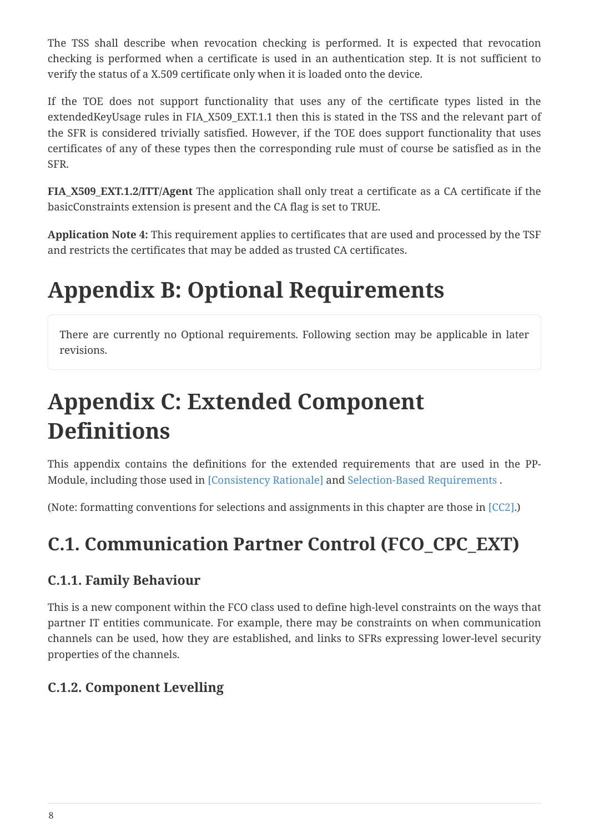The TSS shall describe when revocation checking is performed. It is expected that revocation checking is performed when a certificate is used in an authentication step. It is not sufficient to verify the status of a X.509 certificate only when it is loaded onto the device.

If the TOE does not support functionality that uses any of the certificate types listed in the extendedKeyUsage rules in FIA\_X509\_EXT.1.1 then this is stated in the TSS and the relevant part of the SFR is considered trivially satisfied. However, if the TOE does support functionality that uses certificates of any of these types then the corresponding rule must of course be satisfied as in the SFR.

**FIA\_X509\_EXT.1.2/ITT/Agent** The application shall only treat a certificate as a CA certificate if the basicConstraints extension is present and the CA flag is set to TRUE.

**Application Note 4:** This requirement applies to certificates that are used and processed by the TSF and restricts the certificates that may be added as trusted CA certificates.

## <span id="page-7-0"></span>**Appendix B: Optional Requirements**

There are currently no Optional requirements. Following section may be applicable in later revisions.

# <span id="page-7-1"></span>**Appendix C: Extended Component Definitions**

This appendix contains the definitions for the extended requirements that are used in the PP-Module, including those used in [Consistency Rationale] and [Selection-Based Requirements](#page-6-0) .

(Note: formatting conventions for selections and assignments in this chapter are those in [\[CC2\]](#page-2-8).)

## <span id="page-7-2"></span>**C.1. Communication Partner Control (FCO\_CPC\_EXT)**

#### <span id="page-7-3"></span>**C.1.1. Family Behaviour**

This is a new component within the FCO class used to define high-level constraints on the ways that partner IT entities communicate. For example, there may be constraints on when communication channels can be used, how they are established, and links to SFRs expressing lower-level security properties of the channels.

#### <span id="page-7-4"></span>**C.1.2. Component Levelling**